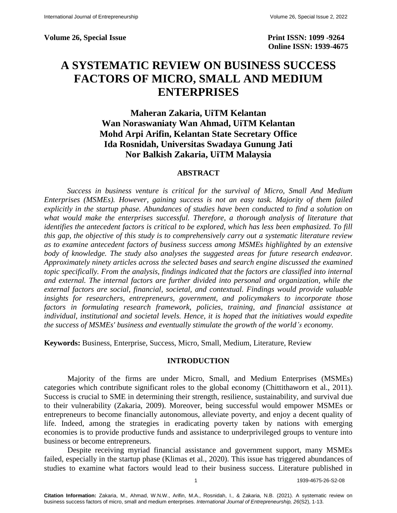Volume 26, Special Issue **Print ISSN: 1099 -9264** 

 **Online ISSN: 1939-4675**

# **A SYSTEMATIC REVIEW ON BUSINESS SUCCESS FACTORS OF MICRO, SMALL AND MEDIUM ENTERPRISES**

**Maheran Zakaria, UiTM Kelantan Wan Noraswaniaty Wan Ahmad, UiTM Kelantan Mohd Arpi Arifin, Kelantan State Secretary Office Ida Rosnidah, Universitas Swadaya Gunung Jati Nor Balkish Zakaria, UiTM Malaysia**

## **ABSTRACT**

*Success in business venture is critical for the survival of Micro, Small And Medium Enterprises (MSMEs). However, gaining success is not an easy task. Majority of them failed explicitly in the startup phase. Abundances of studies have been conducted to find a solution on what would make the enterprises successful. Therefore, a thorough analysis of literature that identifies the antecedent factors is critical to be explored, which has less been emphasized. To fill this gap, the objective of this study is to comprehensively carry out a systematic literature review as to examine antecedent factors of business success among MSMEs highlighted by an extensive*  body of knowledge. The study also analyses the suggested areas for future research endeavor. *Approximately ninety articles across the selected bases and search engine discussed the examined topic specifically. From the analysis, findings indicated that the factors are classified into internal and external. The internal factors are further divided into personal and organization, while the external factors are social, financial, societal, and contextual. Findings would provide valuable insights for researchers, entrepreneurs, government, and policymakers to incorporate those*  factors in formulating research framework, policies, training, and financial assistance at *individual, institutional and societal levels. Hence, it is hoped that the initiatives would expedite the success of MSMEs' business and eventually stimulate the growth of the world's economy.* 

**Keywords:** Business, Enterprise, Success, Micro, Small, Medium, Literature, Review

### **INTRODUCTION**

Majority of the firms are under Micro, Small, and Medium Enterprises (MSMEs) categories which contribute significant roles to the global economy (Chittithaworn et al., 2011). Success is crucial to SME in determining their strength, resilience, sustainability, and survival due to their vulnerability (Zakaria, 2009). Moreover, being successful would empower MSMEs or entrepreneurs to become financially autonomous, alleviate poverty, and enjoy a decent quality of life. Indeed, among the strategies in eradicating poverty taken by nations with emerging economies is to provide productive funds and assistance to underprivileged groups to venture into business or become entrepreneurs.

Despite receiving myriad financial assistance and government support, many MSMEs failed, especially in the startup phase (Klimas et al., 2020). This issue has triggered abundances of studies to examine what factors would lead to their business success. Literature published in

1 1939-4675-26-S2-08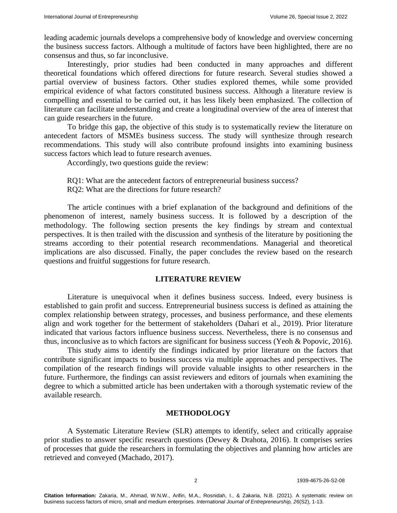leading academic journals develops a comprehensive body of knowledge and overview concerning the business success factors. Although a multitude of factors have been highlighted, there are no consensus and thus, so far inconclusive.

Interestingly, prior studies had been conducted in many approaches and different theoretical foundations which offered directions for future research. Several studies showed a partial overview of business factors. Other studies explored themes, while some provided empirical evidence of what factors constituted business success. Although a literature review is compelling and essential to be carried out, it has less likely been emphasized. The collection of literature can facilitate understanding and create a longitudinal overview of the area of interest that can guide researchers in the future.

To bridge this gap, the objective of this study is to systematically review the literature on antecedent factors of MSMEs business success. The study will synthesize through research recommendations. This study will also contribute profound insights into examining business success factors which lead to future research avenues.

Accordingly, two questions guide the review:

- RQ1: What are the antecedent factors of entrepreneurial business success?
- RQ2: What are the directions for future research?

The article continues with a brief explanation of the background and definitions of the phenomenon of interest, namely business success. It is followed by a description of the methodology. The following section presents the key findings by stream and contextual perspectives. It is then trailed with the discussion and synthesis of the literature by positioning the streams according to their potential research recommendations. Managerial and theoretical implications are also discussed. Finally, the paper concludes the review based on the research questions and fruitful suggestions for future research.

## **LITERATURE REVIEW**

Literature is unequivocal when it defines business success. Indeed, every business is established to gain profit and success. Entrepreneurial business success is defined as attaining the complex relationship between strategy, processes, and business performance, and these elements align and work together for the betterment of stakeholders (Dahari et al., 2019). Prior literature indicated that various factors influence business success. Nevertheless, there is no consensus and thus, inconclusive as to which factors are significant for business success (Yeoh & Popovic, 2016).

This study aims to identify the findings indicated by prior literature on the factors that contribute significant impacts to business success via multiple approaches and perspectives. The compilation of the research findings will provide valuable insights to other researchers in the future. Furthermore, the findings can assist reviewers and editors of journals when examining the degree to which a submitted article has been undertaken with a thorough systematic review of the available research.

# **METHODOLOGY**

A Systematic Literature Review (SLR) attempts to identify, select and critically appraise prior studies to answer specific research questions (Dewey & Drahota, 2016). It comprises series of processes that guide the researchers in formulating the objectives and planning how articles are retrieved and conveyed (Machado, 2017).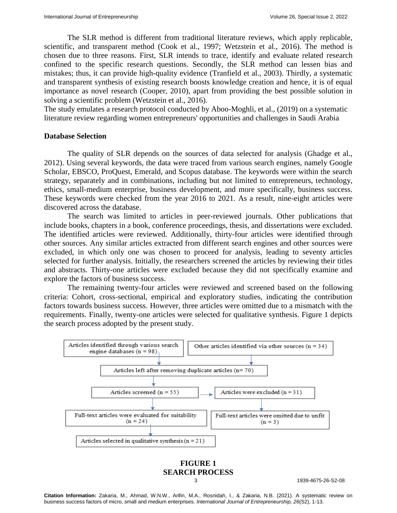The SLR method is different from traditional literature reviews, which apply replicable, scientific, and transparent method (Cook et al., 1997; Wetzstein et al., 2016). The method is chosen due to three reasons. First, SLR intends to trace, identify and evaluate related research confined to the specific research questions. Secondly, the SLR method can lessen bias and mistakes; thus, it can provide high-quality evidence (Tranfield et al., 2003). Thirdly, a systematic and transparent synthesis of existing research boosts knowledge creation and hence, it is of equal importance as novel research (Cooper, 2010), apart from providing the best possible solution in solving a scientific problem (Wetzstein et al., 2016).

The study emulates a research protocol conducted by Aboo-Moghli, et al., (2019) on a systematic literature review regarding women entrepreneurs' opportunities and challenges in Saudi Arabia

### **Database Selection**

The quality of SLR depends on the sources of data selected for analysis (Ghadge et al., 2012). Using several keywords, the data were traced from various search engines, namely Google Scholar, EBSCO, ProQuest, Emerald, and Scopus database. The keywords were within the search strategy, separately and in combinations, including but not limited to entrepreneurs, technology, ethics, small-medium enterprise, business development, and more specifically, business success. These keywords were checked from the year 2016 to 2021. As a result, nine-eight articles were discovered across the database.

The search was limited to articles in peer-reviewed journals. Other publications that include books, chapters in a book, conference proceedings, thesis, and dissertations were excluded. The identified articles were reviewed. Additionally, thirty-four articles were identified through other sources. Any similar articles extracted from different search engines and other sources were excluded, in which only one was chosen to proceed for analysis, leading to seventy articles selected for further analysis. Initially, the researchers screened the articles by reviewing their titles and abstracts. Thirty-one articles were excluded because they did not specifically examine and explore the factors of business success.

The remaining twenty-four articles were reviewed and screened based on the following criteria: Cohort, cross-sectional, empirical and exploratory studies, indicating the contribution factors towards business success. However, three articles were omitted due to a mismatch with the requirements. Finally, twenty-one articles were selected for qualitative synthesis. Figure 1 depicts the search process adopted by the present study.



**FIGURE 1 SEARCH PROCESS**

3 1939-4675-26-S2-08

**Citation Information:** Zakaria, M., Ahmad, W.N.W., Arifin, M.A., Rosnidah, I., & Zakaria, N.B. (2021). A systematic review on business success factors of micro, small and medium enterprises. *International Journal of Entrepreneurship, 26*(S2), 1-13.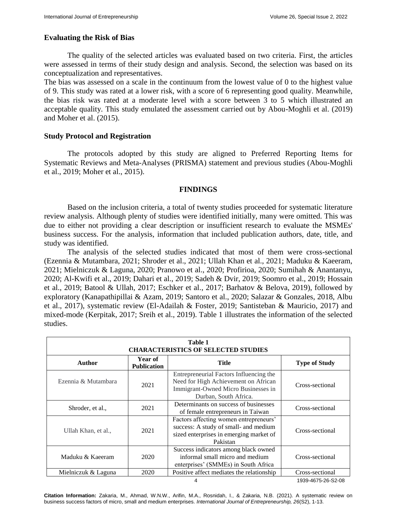# **Evaluating the Risk of Bias**

The quality of the selected articles was evaluated based on two criteria. First, the articles were assessed in terms of their study design and analysis. Second, the selection was based on its conceptualization and representatives.

The bias was assessed on a scale in the continuum from the lowest value of 0 to the highest value of 9. This study was rated at a lower risk, with a score of 6 representing good quality. Meanwhile, the bias risk was rated at a moderate level with a score between 3 to 5 which illustrated an acceptable quality. This study emulated the assessment carried out by Abou-Moghli et al. (2019) and Moher et al. (2015).

# **Study Protocol and Registration**

The protocols adopted by this study are aligned to Preferred Reporting Items for Systematic Reviews and Meta-Analyses (PRISMA) statement and previous studies (Abou-Moghli et al., 2019; Moher et al., 2015).

## **FINDINGS**

Based on the inclusion criteria, a total of twenty studies proceeded for systematic literature review analysis. Although plenty of studies were identified initially, many were omitted. This was due to either not providing a clear description or insufficient research to evaluate the MSMEs' business success. For the analysis, information that included publication authors, date, title, and study was identified.

The analysis of the selected studies indicated that most of them were cross-sectional (Ezennia & Mutambara, 2021; Shroder et al., 2021; Ullah Khan et al., 2021; Maduku & Kaeeram, 2021; Mielniczuk & Laguna, 2020; Pranowo et al., 2020; Profirioa, 2020; Sumihah & Anantanyu, 2020; Al-Kwifi et al., 2019; Dahari et al., 2019; Sadeh & Dvir, 2019; Soomro et al., 2019; Hossain et al., 2019; Batool & Ullah, 2017; Eschker et al., 2017; Barhatov & Belova, 2019), followed by exploratory (Kanapathipillai & Azam, 2019; Santoro et al., 2020; Salazar & Gonzales, 2018, Albu et al., 2017), systematic review (El-Adailah & Foster, 2019; Santisteban & Mauricio, 2017) and mixed-mode (Kerpitak, 2017; Sreih et al., 2019). Table 1 illustrates the information of the selected studies.

| Table 1<br><b>CHARACTERISTICS OF SELECTED STUDIES</b> |                               |                                                                                                                                                 |                      |  |  |
|-------------------------------------------------------|-------------------------------|-------------------------------------------------------------------------------------------------------------------------------------------------|----------------------|--|--|
| <b>Author</b>                                         | Year of<br><b>Publication</b> | Title                                                                                                                                           | <b>Type of Study</b> |  |  |
| Ezennia & Mutambara                                   | 2021                          | Entrepreneurial Factors Influencing the<br>Need for High Achievement on African<br>Immigrant-Owned Micro Businesses in<br>Durban, South Africa. | Cross-sectional      |  |  |
| Shroder, et al.,                                      | 2021                          | Determinants on success of businesses<br>of female entrepreneurs in Taiwan                                                                      | Cross-sectional      |  |  |
| Ullah Khan, et al.,                                   | 2021                          | Factors affecting women entrepreneurs'<br>success: A study of small- and medium<br>sized enterprises in emerging market of<br>Pakistan          | Cross-sectional      |  |  |
| Maduku & Kaeeram                                      | 2020                          | Success indicators among black owned<br>informal small micro and medium<br>enterprises' (SMMEs) in South Africa                                 | Cross-sectional      |  |  |
| Mielniczuk & Laguna                                   | 2020                          | Positive affect mediates the relationship                                                                                                       | Cross-sectional      |  |  |
|                                                       | 1939-4675-26-S2-08            |                                                                                                                                                 |                      |  |  |

**Citation Information:** Zakaria, M., Ahmad, W.N.W., Arifin, M.A., Rosnidah, I., & Zakaria, N.B. (2021). A systematic review on business success factors of micro, small and medium enterprises. *International Journal of Entrepreneurship, 26*(S2), 1-13.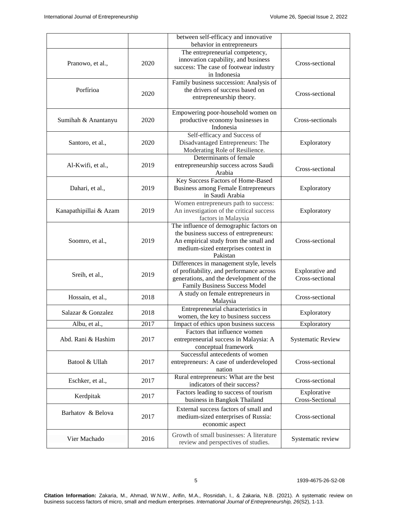|                        |      | between self-efficacy and innovative<br>behavior in entrepreneurs                                                                                                             |                                    |
|------------------------|------|-------------------------------------------------------------------------------------------------------------------------------------------------------------------------------|------------------------------------|
| Pranowo, et al.,       | 2020 | The entrepreneurial competency,<br>innovation capability, and business<br>success: The case of footwear industry<br>in Indonesia                                              | Cross-sectional                    |
| Porfírioa              | 2020 | Family business succession: Analysis of<br>the drivers of success based on<br>entrepreneurship theory.                                                                        | Cross-sectional                    |
| Sumihah & Anantanyu    | 2020 | Empowering poor-household women on<br>productive economy businesses in<br>Indonesia                                                                                           | Cross-sectionals                   |
| Santoro, et al.,       | 2020 | Self-efficacy and Success of<br>Disadvantaged Entrepreneurs: The<br>Moderating Role of Resilience.                                                                            | Exploratory                        |
| Al-Kwifi, et al.,      | 2019 | Determinants of female<br>entrepreneurship success across Saudi<br>Arabia                                                                                                     | Cross-sectional                    |
| Dahari, et al.,        | 2019 | Key Success Factors of Home-Based<br><b>Business among Female Entrepreneurs</b><br>in Saudi Arabia                                                                            | Exploratory                        |
| Kanapathipillai & Azam | 2019 | Women entrepreneurs path to success:<br>An investigation of the critical success<br>factors in Malaysia                                                                       | Exploratory                        |
| Soomro, et al.,        | 2019 | The influence of demographic factors on<br>the business success of entrepreneurs:<br>An empirical study from the small and<br>medium-sized enterprises context in<br>Pakistan | Cross-sectional                    |
| Sreih, et al.,         | 2019 | Differences in management style, levels<br>of profitability, and performance across<br>generations, and the development of the<br>Family Business Success Model               | Explorative and<br>Cross-sectional |
| Hossain, et al.,       | 2018 | A study on female entrepreneurs in<br>Malaysia                                                                                                                                | Cross-sectional                    |
| Salazar & Gonzalez     | 2018 | Entrepreneurial characteristics in<br>women, the key to business success                                                                                                      | Exploratory                        |
| Albu, et al.,          | 2017 | Impact of ethics upon business success                                                                                                                                        | Exploratory                        |
| Abd. Rani & Hashim     | 2017 | Factors that influence women<br>entrepreneurial success in Malaysia: A<br>conceptual framework                                                                                | <b>Systematic Review</b>           |
| Batool & Ullah         | 2017 | Successful antecedents of women<br>entrepreneurs: A case of underdeveloped<br>nation                                                                                          | Cross-sectional                    |
| Eschker, et al.,       | 2017 | Rural entrepreneurs: What are the best<br>indicators of their success?                                                                                                        | Cross-sectional                    |
| Kerdpitak              | 2017 | Factors leading to success of tourism<br>business in Bangkok Thailand                                                                                                         | Explorative<br>Cross-Sectional     |
| Barhatov & Belova      | 2017 | External success factors of small and<br>medium-sized enterprises of Russia:<br>economic aspect                                                                               | Cross-sectional                    |
| Vier Machado           | 2016 | Growth of small businesses: A literature<br>review and perspectives of studies.                                                                                               | Systematic review                  |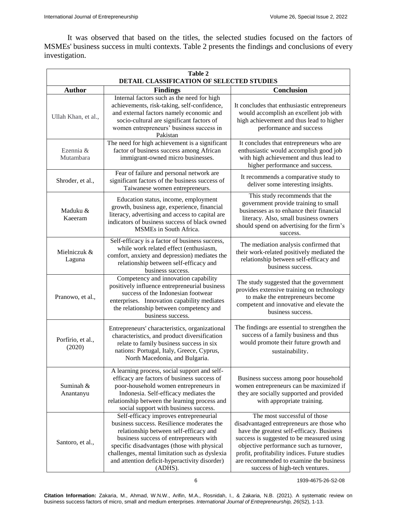It was observed that based on the titles, the selected studies focused on the factors of MSMEs' business success in multi contexts. Table 2 presents the findings and conclusions of every investigation.

| <b>Table 2</b><br>DETAIL CLASSIFICATION OF SELECTED STUDIES |                                                                                                                                                                                                                                                                                                                                       |                                                                                                                                                                                                                                                                                                                                              |  |  |
|-------------------------------------------------------------|---------------------------------------------------------------------------------------------------------------------------------------------------------------------------------------------------------------------------------------------------------------------------------------------------------------------------------------|----------------------------------------------------------------------------------------------------------------------------------------------------------------------------------------------------------------------------------------------------------------------------------------------------------------------------------------------|--|--|
| <b>Author</b>                                               | <b>Findings</b>                                                                                                                                                                                                                                                                                                                       | Conclusion                                                                                                                                                                                                                                                                                                                                   |  |  |
| Ullah Khan, et al.,                                         | Internal factors such as the need for high<br>achievements, risk-taking, self-confidence,<br>and external factors namely economic and<br>socio-cultural are significant factors of<br>women entrepreneurs' business success in<br>Pakistan                                                                                            | It concludes that enthusiastic entrepreneurs<br>would accomplish an excellent job with<br>high achievement and thus lead to higher<br>performance and success                                                                                                                                                                                |  |  |
| Ezennia &<br>Mutambara                                      | The need for high achievement is a significant<br>factor of business success among African<br>immigrant-owned micro businesses.                                                                                                                                                                                                       | It concludes that entrepreneurs who are<br>enthusiastic would accomplish good job<br>with high achievement and thus lead to<br>higher performance and success.                                                                                                                                                                               |  |  |
| Shroder, et al.,                                            | Fear of failure and personal network are<br>significant factors of the business success of<br>Taiwanese women entrepreneurs.                                                                                                                                                                                                          | It recommends a comparative study to<br>deliver some interesting insights.                                                                                                                                                                                                                                                                   |  |  |
| Maduku &<br>Kaeeram                                         | Education status, income, employment<br>growth, business age, experience, financial<br>literacy, advertising and access to capital are<br>indicators of business success of black owned<br>MSMEs in South Africa.                                                                                                                     | This study recommends that the<br>government provide training to small<br>businesses as to enhance their financial<br>literacy. Also, small business owners<br>should spend on advertising for the firm's<br>success.                                                                                                                        |  |  |
| Mielniczuk &<br>Laguna                                      | Self-efficacy is a factor of business success,<br>while work related effect (enthusiasm,<br>comfort, anxiety and depression) mediates the<br>relationship between self-efficacy and<br>business success.                                                                                                                              | The mediation analysis confirmed that<br>their work-related positively mediated the<br>relationship between self-efficacy and<br>business success.                                                                                                                                                                                           |  |  |
| Pranowo, et al.,                                            | Competency and innovation capability<br>positively influence entrepreneurial business<br>success of the Indonesian footwear<br>enterprises. Innovation capability mediates<br>the relationship between competency and<br>business success.                                                                                            | The study suggested that the government<br>provides extensive training on technology<br>to make the entrepreneurs become<br>competent and innovative and elevate the<br>business success.                                                                                                                                                    |  |  |
| Porfírio, et al.,<br>(2020)                                 | Entrepreneurs' characteristics, organizational<br>characteristics, and product diversification<br>relate to family business success in six<br>nations: Portugal, Italy, Greece, Cyprus,<br>North Macedonia, and Bulgaria.                                                                                                             | The findings are essential to strengthen the<br>success of a family business and thus<br>would promote their future growth and<br>sustainability.                                                                                                                                                                                            |  |  |
| Suminah &<br>Anantanyu                                      | A learning process, social support and self-<br>efficacy are factors of business success of<br>poor-household women entrepreneurs in<br>Indonesia. Self-efficacy mediates the<br>relationship between the learning process and<br>social support with business success.                                                               | Business success among poor household<br>women entrepreneurs can be maximized if<br>they are socially supported and provided<br>with appropriate training.                                                                                                                                                                                   |  |  |
| Santoro, et al.,                                            | Self-efficacy improves entrepreneurial<br>business success. Resilience moderates the<br>relationship between self-efficacy and<br>business success of entrepreneurs with<br>specific disadvantages (those with physical<br>challenges, mental limitation such as dyslexia<br>and attention deficit-hyperactivity disorder)<br>(ADHS). | The most successful of those<br>disadvantaged entrepreneurs are those who<br>have the greatest self-efficacy. Business<br>success is suggested to be measured using<br>objective performance such as turnover,<br>profit, profitability indices. Future studies<br>are recommended to examine the business<br>success of high-tech ventures. |  |  |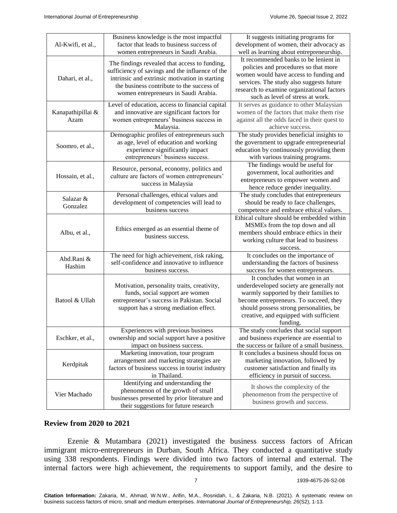| Al-Kwifi, et al., | Business knowledge is the most impactful<br>factor that leads to business success of        | It suggests initiating programs for<br>development of women, their advocacy as  |
|-------------------|---------------------------------------------------------------------------------------------|---------------------------------------------------------------------------------|
|                   | women entrepreneurs in Saudi Arabia.                                                        | well as learning about entrepreneurship.                                        |
|                   |                                                                                             | It recommended banks to be lenient in                                           |
|                   | The findings revealed that access to funding,                                               | policies and procedures so that more                                            |
|                   | sufficiency of savings and the influence of the                                             | women would have access to funding and                                          |
| Dahari, et al.,   | intrinsic and extrinsic motivation in starting<br>the business contribute to the success of | services. The study also suggests future                                        |
|                   |                                                                                             | research to examine organizational factors                                      |
|                   | women entrepreneurs in Saudi Arabia.                                                        | such as level of stress at work.                                                |
|                   | Level of education, access to financial capital                                             | It serves as guidance to other Malaysian                                        |
| Kanapathipillai & | and innovative are significant factors for                                                  | women of the factors that make them rise                                        |
| Azam              | women entrepreneurs' business success in                                                    | against all the odds faced in their quest to                                    |
|                   | Malaysia.                                                                                   | achieve success.                                                                |
|                   | Demographic profiles of entrepreneurs such                                                  | The study provides beneficial insights to                                       |
| Soomro, et al.,   | as age, level of education and working                                                      | the government to upgrade entrepreneurial                                       |
|                   | experience significantly impact                                                             | education by continuously providing them                                        |
|                   | entrepreneurs' business success.                                                            | with various training programs.                                                 |
|                   | Resource, personal, economy, politics and                                                   | The findings would be useful for                                                |
| Hossain, et al.,  | culture are factors of women entrepreneurs'                                                 | government, local authorities and                                               |
|                   | success in Malaysia                                                                         | entrepreneurs to empower women and                                              |
|                   |                                                                                             | hence reduce gender inequality.                                                 |
| Salazar &         | Personal challenges, ethical values and                                                     | The study concludes that entrepreneurs                                          |
| Gonzalez          | development of competencies will lead to                                                    | should be ready to face challenges,                                             |
|                   | business success                                                                            | competence and embrace ethical values.                                          |
|                   |                                                                                             | Ethical culture should be embedded within                                       |
|                   | Ethics emerged as an essential theme of                                                     | MSMEs from the top down and all                                                 |
| Albu, et al.,     | business success.                                                                           | members should embrace ethics in their                                          |
|                   |                                                                                             | working culture that lead to business                                           |
|                   |                                                                                             | success.                                                                        |
| Abd.Rani &        | The need for high achievement, risk raking,                                                 | It concludes on the importance of                                               |
| Hashim            | self-confidence and innovative to influence                                                 | understanding the factors of business                                           |
|                   | business success.                                                                           | success for women entrepreneurs.<br>It concludes that women in an               |
|                   |                                                                                             |                                                                                 |
| Batool & Ullah    | Motivation, personality traits, creativity,<br>funds, social support are women              | underdeveloped society are generally not                                        |
|                   | entrepreneur's success in Pakistan. Social                                                  | warmly supported by their families to<br>become entrepreneurs. To succeed, they |
|                   | support has a strong mediation effect.                                                      | should possess strong personalities, be                                         |
|                   |                                                                                             | creative, and equipped with sufficient                                          |
|                   |                                                                                             | funding.                                                                        |
|                   | Experiences with previous business                                                          | The study concludes that social support                                         |
| Eschker, et al.,  | ownership and social support have a positive                                                | and business experience are essential to                                        |
|                   | impact on business success.                                                                 | the success or failure of a small business.                                     |
| Kerdpitak         | Marketing innovation, tour program                                                          | It concludes a business should focus on                                         |
|                   | arrangement and marketing strategies are                                                    | marketing innovation, followed by                                               |
|                   | factors of business success in tourist industry                                             | customer satisfaction and finally its                                           |
|                   | in Thailand.                                                                                | efficiency in pursuit of success.                                               |
| Vier Machado      | Identifying and understanding the                                                           |                                                                                 |
|                   | phenomenon of the growth of small                                                           | It shows the complexity of the                                                  |
|                   | businesses presented by prior literature and                                                | phenomenon from the perspective of                                              |
|                   | their suggestions for future research                                                       | business growth and success.                                                    |

# **Review from 2020 to 2021**

Ezenie & Mutambara (2021) investigated the business success factors of African immigrant micro-entrepreneurs in Durban, South Africa. They conducted a quantitative study using 338 respondents. Findings were divided into two factors of internal and external. The internal factors were high achievement, the requirements to support family, and the desire to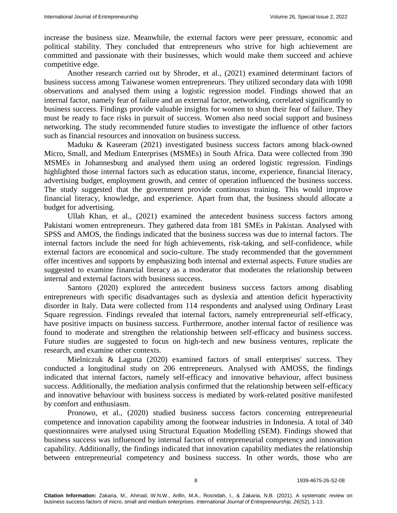increase the business size. Meanwhile, the external factors were peer pressure, economic and political stability. They concluded that entrepreneurs who strive for high achievement are committed and passionate with their businesses, which would make them succeed and achieve competitive edge.

Another research carried out by Shroder, et al., (2021) examined determinant factors of business success among Taiwanese women entrepreneurs. They utilized secondary data with 1098 observations and analysed them using a logistic regression model. Findings showed that an internal factor, namely fear of failure and an external factor, networking, correlated significantly to business success. Findings provide valuable insights for women to shun their fear of failure. They must be ready to face risks in pursuit of success. Women also need social support and business networking. The study recommended future studies to investigate the influence of other factors such as financial resources and innovation on business success.

Maduku & Kaseeram (2021) investigated business success factors among black-owned Micro, Small, and Medium Enterprises (MSMEs) in South Africa. Data were collected from 390 MSMEs in Johannesburg and analysed them using an ordered logistic regression. Findings highlighted those internal factors such as education status, income, experience, financial literacy, advertising budget, employment growth, and center of operation influenced the business success. The study suggested that the government provide continuous training. This would improve financial literacy, knowledge, and experience. Apart from that, the business should allocate a budget for advertising.

Ullah Khan, et al., (2021) examined the antecedent business success factors among Pakistani women entrepreneurs. They gathered data from 181 SMEs in Pakistan. Analysed with SPSS and AMOS, the findings indicated that the business success was due to internal factors. The internal factors include the need for high achievements, risk-taking, and self-confidence, while external factors are economical and socio-culture. The study recommended that the government offer incentives and supports by emphasizing both internal and external aspects. Future studies are suggested to examine financial literacy as a moderator that moderates the relationship between internal and external factors with business success.

Santoro (2020) explored the antecedent business success factors among disabling entrepreneurs with specific disadvantages such as dyslexia and attention deficit hyperactivity disorder in Italy. Data were collected from 114 respondents and analysed using Ordinary Least Square regression. Findings revealed that internal factors, namely entrepreneurial self-efficacy, have positive impacts on business success. Furthermore, another internal factor of resilience was found to moderate and strengthen the relationship between self-efficacy and business success. Future studies are suggested to focus on high-tech and new business ventures, replicate the research, and examine other contexts.

Mielniczuk & Laguna (2020) examined factors of small enterprises' success. They conducted a longitudinal study on 206 entrepreneurs. Analysed with AMOSS, the findings indicated that internal factors, namely self-efficacy and innovative behaviour, affect business success. Additionally, the mediation analysis confirmed that the relationship between self-efficacy and innovative behaviour with business success is mediated by work-related positive manifested by comfort and enthusiasm.

Pronowo, et al., (2020) studied business success factors concerning entrepreneurial competence and innovation capability among the footwear industries in Indonesia. A total of 340 questionnaires were analysed using Structural Equation Modelling (SEM). Findings showed that business success was influenced by internal factors of entrepreneurial competency and innovation capability. Additionally, the findings indicated that innovation capability mediates the relationship between entrepreneurial competency and business success. In other words, those who are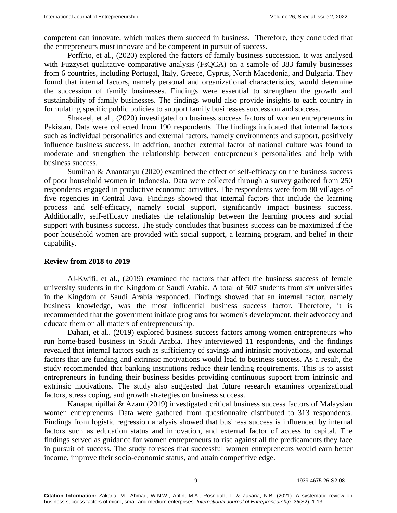competent can innovate, which makes them succeed in business. Therefore, they concluded that the entrepreneurs must innovate and be competent in pursuit of success.

Porfírio, et al., (2020) explored the factors of family business succession. It was analysed with Fuzzyset qualitative comparative analysis (FsQCA) on a sample of 383 family businesses from 6 countries, including Portugal, Italy, Greece, Cyprus, North Macedonia, and Bulgaria. They found that internal factors, namely personal and organizational characteristics, would determine the succession of family businesses. Findings were essential to strengthen the growth and sustainability of family businesses. The findings would also provide insights to each country in formulating specific public policies to support family businesses succession and success.

Shakeel, et al., (2020) investigated on business success factors of women entrepreneurs in Pakistan. Data were collected from 190 respondents. The findings indicated that internal factors such as individual personalities and external factors, namely environments and support, positively influence business success. In addition, another external factor of national culture was found to moderate and strengthen the relationship between entrepreneur's personalities and help with business success.

Sumihah & Anantanyu (2020) examined the effect of self-efficacy on the business success of poor household women in Indonesia. Data were collected through a survey gathered from 250 respondents engaged in productive economic activities. The respondents were from 80 villages of five regencies in Central Java. Findings showed that internal factors that include the learning process and self-efficacy, namely social support, significantly impact business success. Additionally, self-efficacy mediates the relationship between the learning process and social support with business success. The study concludes that business success can be maximized if the poor household women are provided with social support, a learning program, and belief in their capability.

## **Review from 2018 to 2019**

Al-Kwifi, et al., (2019) examined the factors that affect the business success of female university students in the Kingdom of Saudi Arabia. A total of 507 students from six universities in the Kingdom of Saudi Arabia responded. Findings showed that an internal factor, namely business knowledge, was the most influential business success factor. Therefore, it is recommended that the government initiate programs for women's development, their advocacy and educate them on all matters of entrepreneurship.

Dahari, et al., (2019) explored business success factors among women entrepreneurs who run home-based business in Saudi Arabia. They interviewed 11 respondents, and the findings revealed that internal factors such as sufficiency of savings and intrinsic motivations, and external factors that are funding and extrinsic motivations would lead to business success. As a result, the study recommended that banking institutions reduce their lending requirements. This is to assist entrepreneurs in funding their business besides providing continuous support from intrinsic and extrinsic motivations. The study also suggested that future research examines organizational factors, stress coping, and growth strategies on business success.

Kanapathipillai & Azam (2019) investigated critical business success factors of Malaysian women entrepreneurs. Data were gathered from questionnaire distributed to 313 respondents. Findings from logistic regression analysis showed that business success is influenced by internal factors such as education status and innovation, and external factor of access to capital. The findings served as guidance for women entrepreneurs to rise against all the predicaments they face in pursuit of success. The study foresees that successful women entrepreneurs would earn better income, improve their socio-economic status, and attain competitive edge.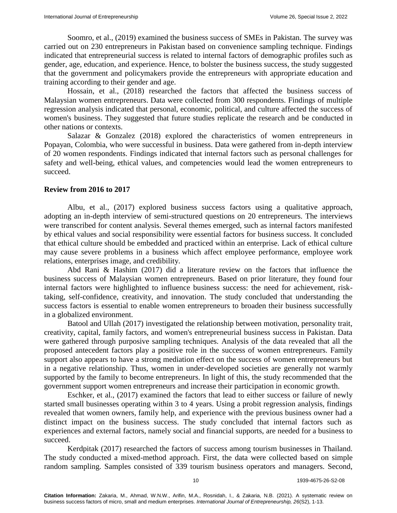Soomro, et al., (2019) examined the business success of SMEs in Pakistan. The survey was carried out on 230 entrepreneurs in Pakistan based on convenience sampling technique. Findings indicated that entrepreneurial success is related to internal factors of demographic profiles such as gender, age, education, and experience. Hence, to bolster the business success, the study suggested that the government and policymakers provide the entrepreneurs with appropriate education and training according to their gender and age.

Hossain, et al., (2018) researched the factors that affected the business success of Malaysian women entrepreneurs. Data were collected from 300 respondents. Findings of multiple regression analysis indicated that personal, economic, political, and culture affected the success of women's business. They suggested that future studies replicate the research and be conducted in other nations or contexts.

Salazar & Gonzalez (2018) explored the characteristics of women entrepreneurs in Popayan, Colombia, who were successful in business. Data were gathered from in-depth interview of 20 women respondents. Findings indicated that internal factors such as personal challenges for safety and well-being, ethical values, and competencies would lead the women entrepreneurs to succeed.

## **Review from 2016 to 2017**

Albu, et al., (2017) explored business success factors using a qualitative approach, adopting an in-depth interview of semi-structured questions on 20 entrepreneurs. The interviews were transcribed for content analysis. Several themes emerged, such as internal factors manifested by ethical values and social responsibility were essential factors for business success. It concluded that ethical culture should be embedded and practiced within an enterprise. Lack of ethical culture may cause severe problems in a business which affect employee performance, employee work relations, enterprises image, and credibility.

Abd Rani & Hashim (2017) did a literature review on the factors that influence the business success of Malaysian women entrepreneurs. Based on prior literature, they found four internal factors were highlighted to influence business success: the need for achievement, risktaking, self-confidence, creativity, and innovation. The study concluded that understanding the success factors is essential to enable women entrepreneurs to broaden their business successfully in a globalized environment.

Batool and Ullah (2017) investigated the relationship between motivation, personality trait, creativity, capital, family factors, and women's entrepreneurial business success in Pakistan. Data were gathered through purposive sampling techniques. Analysis of the data revealed that all the proposed antecedent factors play a positive role in the success of women entrepreneurs. Family support also appears to have a strong mediation effect on the success of women entrepreneurs but in a negative relationship. Thus, women in under-developed societies are generally not warmly supported by the family to become entrepreneurs. In light of this, the study recommended that the government support women entrepreneurs and increase their participation in economic growth.

Eschker, et al., (2017) examined the factors that lead to either success or failure of newly started small businesses operating within 3 to 4 years. Using a probit regression analysis, findings revealed that women owners, family help, and experience with the previous business owner had a distinct impact on the business success. The study concluded that internal factors such as experiences and external factors, namely social and financial supports, are needed for a business to succeed.

Kerdpitak (2017) researched the factors of success among tourism businesses in Thailand. The study conducted a mixed-method approach. First, the data were collected based on simple random sampling. Samples consisted of 339 tourism business operators and managers. Second,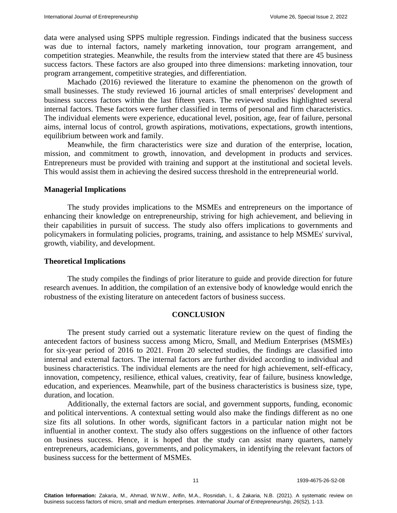data were analysed using SPPS multiple regression. Findings indicated that the business success was due to internal factors, namely marketing innovation, tour program arrangement, and competition strategies. Meanwhile, the results from the interview stated that there are 45 business success factors. These factors are also grouped into three dimensions: marketing innovation, tour program arrangement, competitive strategies, and differentiation.

Machado (2016) reviewed the literature to examine the phenomenon on the growth of small businesses. The study reviewed 16 journal articles of small enterprises' development and business success factors within the last fifteen years. The reviewed studies highlighted several internal factors. These factors were further classified in terms of personal and firm characteristics. The individual elements were experience, educational level, position, age, fear of failure, personal aims, internal locus of control, growth aspirations, motivations, expectations, growth intentions, equilibrium between work and family.

Meanwhile, the firm characteristics were size and duration of the enterprise, location, mission, and commitment to growth, innovation, and development in products and services. Entrepreneurs must be provided with training and support at the institutional and societal levels. This would assist them in achieving the desired success threshold in the entrepreneurial world.

## **Managerial Implications**

The study provides implications to the MSMEs and entrepreneurs on the importance of enhancing their knowledge on entrepreneurship, striving for high achievement, and believing in their capabilities in pursuit of success. The study also offers implications to governments and policymakers in formulating policies, programs, training, and assistance to help MSMEs' survival, growth, viability, and development.

## **Theoretical Implications**

The study compiles the findings of prior literature to guide and provide direction for future research avenues. In addition, the compilation of an extensive body of knowledge would enrich the robustness of the existing literature on antecedent factors of business success.

# **CONCLUSION**

The present study carried out a systematic literature review on the quest of finding the antecedent factors of business success among Micro, Small, and Medium Enterprises (MSMEs) for six-year period of 2016 to 2021. From 20 selected studies, the findings are classified into internal and external factors. The internal factors are further divided according to individual and business characteristics. The individual elements are the need for high achievement, self-efficacy, innovation, competency, resilience, ethical values, creativity, fear of failure, business knowledge, education, and experiences. Meanwhile, part of the business characteristics is business size, type, duration, and location.

Additionally, the external factors are social, and government supports, funding, economic and political interventions. A contextual setting would also make the findings different as no one size fits all solutions. In other words, significant factors in a particular nation might not be influential in another context. The study also offers suggestions on the influence of other factors on business success. Hence, it is hoped that the study can assist many quarters, namely entrepreneurs, academicians, governments, and policymakers, in identifying the relevant factors of business success for the betterment of MSMEs.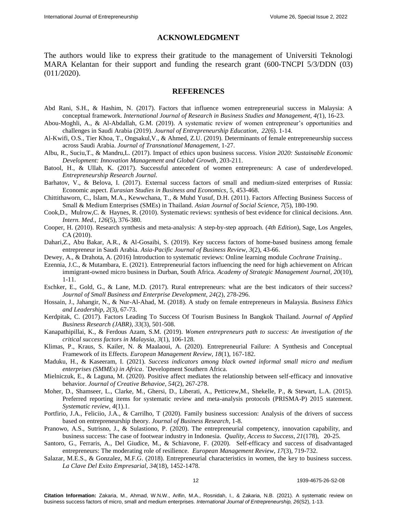#### **ACKNOWLEDGMENT**

The authors would like to express their gratitude to the management of Universiti Teknologi MARA Kelantan for their support and funding the research grant (600-TNCPI 5/3/DDN (03) (011/2020).

#### **REFERENCES**

- Abd Rani, S.H., & Hashim, N. (2017). [Factors that influence women entrepreneurial success in Malaysia: A](https://www.ijrbsm.org/papers/v4-i1/3.pdf)  [conceptual framework.](https://www.ijrbsm.org/papers/v4-i1/3.pdf) *International Journal of Research in Business Studies and Management, 4(*1), 16-23.
- Abou-Moghli, A., & Al-Abdallah, G.M. (2019). [A systematic review of women entrepreneur's opportunities and](https://www.abacademies.org/articles/a-systematic-review-of-women-entrepreneurs-opportunities-and-challenges-in-saudi-arabia-8803.html)  [challenges in Saudi Arabia \(2019\).](https://www.abacademies.org/articles/a-systematic-review-of-women-entrepreneurs-opportunities-and-challenges-in-saudi-arabia-8803.html) *Journal of Entrepreneurship Education, 22*(6). 1-14.
- Al-Kwifi, O.S., Tier Khoa, T., Ongsakul,V., & Ahmed, Z.U. (2019). [Determinants of female entrepreneurship success](https://www.semanticscholar.org/paper/Determinants-of-female-entrepreneurship-success-Al-Kwifi-Khoa/3d9b0ae3fa3ce596613aece63b0a4329a81cbaa5)  [across Saudi Arabia.](https://www.semanticscholar.org/paper/Determinants-of-female-entrepreneurship-success-Al-Kwifi-Khoa/3d9b0ae3fa3ce596613aece63b0a4329a81cbaa5) *Journal of Transnational Management*, 1-27.
- Albu, R., Suciu,T., & Mandru,L. (2017). Impact of ethics upon business success. *Vision 2020: Sustainable Economic Development: Innovation Management and Global Growth,* 203-211.
- Batool, H., & Ullah, K. (2017). [Successful antecedent of women entrepreneurs: A case of underdeveloped.](https://www.degruyter.com/document/doi/10.1515/erj-2016-0066/html?lang=en) *Entrepreneurship Research Journal.*
- Barhatov, V., & Belova, I. (2017). [External success factors of small and medium-sized enterprises of Russia:](https://ideas.repec.org/h/spr/eurchp/978-3-319-46319-3_28.html)  [Economic aspect.](https://ideas.repec.org/h/spr/eurchp/978-3-319-46319-3_28.html) *Eurasian Studies in Business and Economics*, 5, 453-468.
- Chittithaworn, C., Islam, M.A., Kewwchana, T., & Muhd Yusuf, D.H. (2011). [Factors Affecting Business Success of](https://www.ccsenet.org/journal/index.php/ass/article/view/7506#:~:text=The%20study%20examined%20eight%20factors,%2C%20Strategy%2C%20and%20external%20environment.)  [Small & Medium Enterprises \(SMEs\) in Thailand.](https://www.ccsenet.org/journal/index.php/ass/article/view/7506#:~:text=The%20study%20examined%20eight%20factors,%2C%20Strategy%2C%20and%20external%20environment.) *Asian Journal of Social Science, 7*(5), 180-190.
- Cook,D., Mulrow,C. & Haynes, R. (2010). [Systematic reviews: synthesis of best evidence for clinical decisions.](https://pubmed.ncbi.nlm.nih.gov/9054282/) *Ann. Intern. Med., 126*(5), 376-380.
- Cooper, H. (2010). [Research synthesis and meta-analysis: A step-by-step approach. \(](https://us.sagepub.com/en-us/nam/research-synthesis-and-meta-analysis/book241775)*4th Edition*), Sage, Los Angeles, CA (2010).
- Dahari,Z., Abu Bakar, A.R., & Al-Gosaibi, S. (2019). [Key success factors of home-based business among female](https://www.koreascience.or.kr/article/JAKO201929064694279.page)  [entrepreneur in Saudi Arabia.](https://www.koreascience.or.kr/article/JAKO201929064694279.page) *Asia-Pacific Journal of Business Review, 3*(2), 43-66.
- Dewey, A., & Drahota, A. (2016) [Introduction to systematic reviews: Online learning module](ttps://training.cochrane.org/interactivelearning/module-1-introduction-conducting-systematic-reviews) *Cochrane Training*..
- Ezennia, J.C., & Mutambara, E. (2021). [Entrepreneurial factors influencing the need for high achievement on African](https://www.proquest.com/openview/caf951e06e5ad3d6f8d7f5449227c3e7/1?pq-origsite=gscholar&cbl=38745)  [immigrant-owned micro business in Durban, South Africa.](https://www.proquest.com/openview/caf951e06e5ad3d6f8d7f5449227c3e7/1?pq-origsite=gscholar&cbl=38745) *Academy of Strategic Management Journal, 20*(10), 1-11.
- Eschker, E., Gold, G., & Lane, M.D. (2017). [Rural entrepreneurs: what are the best indicators of their success?](https://www.emerald.com/insight/content/doi/10.1108/JSBED-07-2016-0112/full/html) *Journal of Small Business and Enterprise Development, 24*(2), 278-296.
- Hossain, J., Jahangir, N., & Nur-Al-Ahad, M. (2018). [A study on female entrepreneurs in Malaysia.](https://essuir.sumdu.edu.ua/handle/123456789/72093) *Business Ethics and Leadership, 2*(3), 67-73.
- Kerdpitak, C. (2017). [Factors Leading To Success Of Tourism Business In Bangkok Thailand.](https://clutejournals.com/index.php/JABR/article/view/9942) *Journal of Applied Business Research (JABR)*, *33*(3), 501-508.
- Kanapathipillai, K., & Ferdous Azam, S.M. (2019). *[Women entrepreneurs path to success: An investigation of the](https://www.oapub.org/soc/index.php/EJHRMS/article/view/615)  critical [success factors in Malaysia,](https://www.oapub.org/soc/index.php/EJHRMS/article/view/615) 3*(1), 106-128.
- Klimas, P., Kraus, S. Kailer, N. & Maalaoui, A. (2020). [Entrepreneurial Failure: A Synthesis and Conceptual](https://onlinelibrary.wiley.com/doi/full/10.1111/emre.12426)  [Framework of its Effects.](https://onlinelibrary.wiley.com/doi/full/10.1111/emre.12426) *European Management Review, 18*(1), 167-182.
- Maduku, H., & Kaseeram, I. (2021). *[Success indicators among black owned informal small micro and medium](https://www.tandfonline.com/doi/abs/10.1080/0376835X.2021.1913997)  [enterprises \(SMMEs\) in Africa](https://www.tandfonline.com/doi/abs/10.1080/0376835X.2021.1913997)*. `Development Southern Africa.
- Mielniczuk, E., & Laguna, M. (2020). [Positive affect mediates the relationship between self-efficacy and innovative](https://onlinelibrary.wiley.com/doi/abs/10.1002/jocb.364)  [behavior.](https://onlinelibrary.wiley.com/doi/abs/10.1002/jocb.364) *Journal of Creative Behavioe, 54*(2), 267-278.
- Moher, D., Shamseer, L., Clarke, M., Ghersi, D., Liberati, A., Petticrew,M., Shekelle, P., & Stewart, L.A. (2015). [Preferred reporting items for systematic review and meta-analysis protocols \(PRISMA-P\) 2015 statement.](https://www.bmj.com/content/349/bmj.G7647.abstract) *Systematic review, 4*(1).1.
- Portfirio, J.A., Feliciio, J.A., & Carrilho, T (2020). [Family business succession: Analysis of the drivers of success](https://www.sciencedirect.com/science/article/abs/pii/S0148296319307295)  [based on entrepreneurship theory.](https://www.sciencedirect.com/science/article/abs/pii/S0148296319307295) *Journal of Business Research,* 1-8.
- Pranowo, A.S., Sutrisno, J., & Sulastiono, P. (2020). The entrepreneurial competency, innovation capability, and business success: The case of footwear industry in Indonesia. *Quality, Access to Success*, *21*[\(178\),](https://www.proquest.com/indexingvolumeissuelinkhandler/1046413/Calitatea/02020Y10Y01$23Oct+2020$3b++Vol.+21+$28178$29/21/178;jsessionid=0C6572527326EB87B89CEA0D6509CDC5.i-02f892729412243a8) 20-25.
- Santoro, G., Ferraris, A., Del Giudice, M., & Schiavone, F. (2020). Self-efficacy and success of disadvantaged entrepreneurs: The moderating role of resilience. *European Management Review, 17*(3), 719-732.
- Salazar, M.E.S., & Gonzalez, M.F.G. (2018). Entrepreneurial characteristics in women, the key to business success. *La Clave Del Exito Empresarial, 34*(18), 1452-1478.